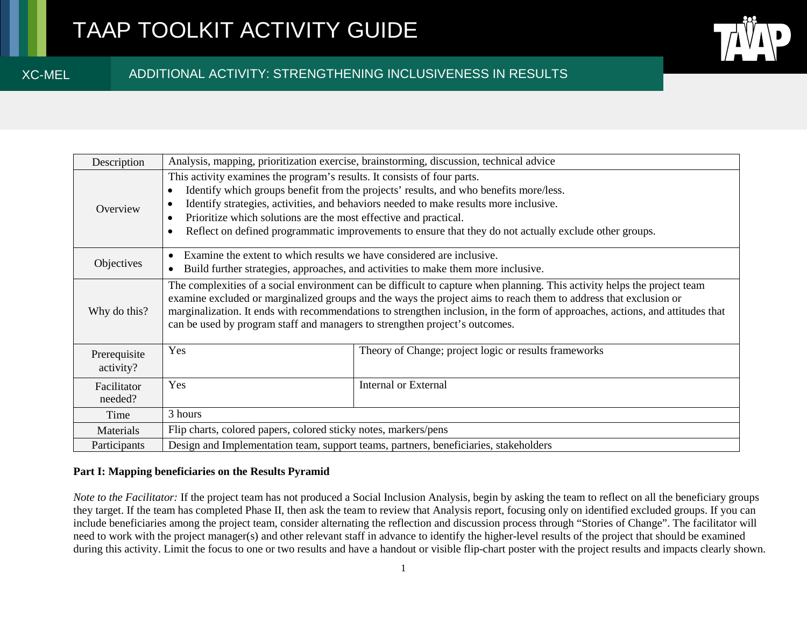XC-MEL

# ADDITIONAL ACTIVITY: STRENGTHENING INCLUSIVENESS IN RESULTS

| Description               | Analysis, mapping, prioritization exercise, brainstorming, discussion, technical advice                                                                                                                                                                                                                                                                                                                                                                            |                                                       |
|---------------------------|--------------------------------------------------------------------------------------------------------------------------------------------------------------------------------------------------------------------------------------------------------------------------------------------------------------------------------------------------------------------------------------------------------------------------------------------------------------------|-------------------------------------------------------|
| Overview                  | This activity examines the program's results. It consists of four parts.<br>Identify which groups benefit from the projects' results, and who benefits more/less.<br>Identify strategies, activities, and behaviors needed to make results more inclusive.<br>$\bullet$<br>Prioritize which solutions are the most effective and practical.<br>$\bullet$<br>Reflect on defined programmatic improvements to ensure that they do not actually exclude other groups. |                                                       |
| Objectives                | Examine the extent to which results we have considered are inclusive.<br>Build further strategies, approaches, and activities to make them more inclusive.                                                                                                                                                                                                                                                                                                         |                                                       |
| Why do this?              | The complexities of a social environment can be difficult to capture when planning. This activity helps the project team<br>examine excluded or marginalized groups and the ways the project aims to reach them to address that exclusion or<br>marginalization. It ends with recommendations to strengthen inclusion, in the form of approaches, actions, and attitudes that<br>can be used by program staff and managers to strengthen project's outcomes.       |                                                       |
| Prerequisite<br>activity? | Yes                                                                                                                                                                                                                                                                                                                                                                                                                                                                | Theory of Change; project logic or results frameworks |
| Facilitator<br>needed?    | Yes                                                                                                                                                                                                                                                                                                                                                                                                                                                                | <b>Internal or External</b>                           |
| Time                      | 3 hours                                                                                                                                                                                                                                                                                                                                                                                                                                                            |                                                       |
| Materials                 | Flip charts, colored papers, colored sticky notes, markers/pens                                                                                                                                                                                                                                                                                                                                                                                                    |                                                       |
| Participants              | Design and Implementation team, support teams, partners, beneficiaries, stakeholders                                                                                                                                                                                                                                                                                                                                                                               |                                                       |

## **Part I: Mapping beneficiaries on the Results Pyramid**

*Note to the Facilitator:* If the project team has not produced a Social Inclusion Analysis, begin by asking the team to reflect on all the beneficiary groups they target. If the team has completed Phase II, then ask the team to review that Analysis report, focusing only on identified excluded groups. If you can include beneficiaries among the project team, consider alternating the reflection and discussion process through "Stories of Change". The facilitator will need to work with the project manager(s) and other relevant staff in advance to identify the higher-level results of the project that should be examined during this activity. Limit the focus to one or two results and have a handout or visible flip-chart poster with the project results and impacts clearly shown.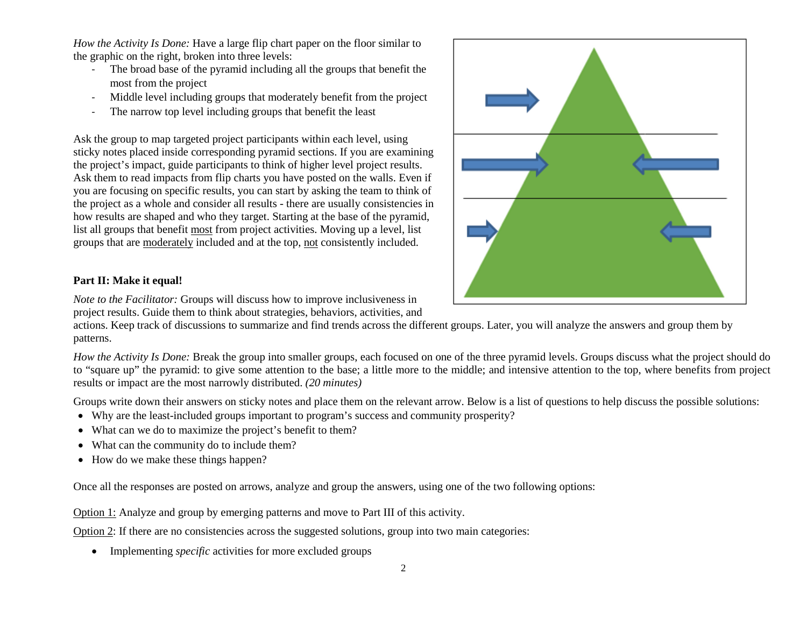*How the Activity Is Done:* Have a large flip chart paper on the floor similar to the graphic on the right, broken into three levels:

- The broad base of the pyramid including all the groups that benefit the most from the project
- Middle level including groups that moderately benefit from the project
- The narrow top level including groups that benefit the least

Ask the group to map targeted project participants within each level, using sticky notes placed inside corresponding pyramid sections. If you are examining the project's impact, guide participants to think of higher level project results. Ask them to read impacts from flip charts you have posted on the walls. Even if you are focusing on specific results, you can start by asking the team to think of the project as a whole and consider all results - there are usually consistencies in how results are shaped and who they target. Starting at the base of the pyramid, list all groups that benefit most from project activities. Moving up a level, list groups that are moderately included and at the top, not consistently included.



## **Part II: Make it equal!**

*Note to the Facilitator:* Groups will discuss how to improve inclusiveness in project results. Guide them to think about strategies, behaviors, activities, and

actions. Keep track of discussions to summarize and find trends across the different groups. Later, you will analyze the answers and group them by patterns.

*How the Activity Is Done:* Break the group into smaller groups, each focused on one of the three pyramid levels. Groups discuss what the project should do to "square up" the pyramid: to give some attention to the base; a little more to the middle; and intensive attention to the top, where benefits from project results or impact are the most narrowly distributed. *(20 minutes)*

Groups write down their answers on sticky notes and place them on the relevant arrow. Below is a list of questions to help discuss the possible solutions:

- Why are the least-included groups important to program's success and community prosperity?
- What can we do to maximize the project's benefit to them?
- What can the community do to include them?
- How do we make these things happen?

Once all the responses are posted on arrows, analyze and group the answers, using one of the two following options:

Option 1: Analyze and group by emerging patterns and move to Part III of this activity.

Option 2: If there are no consistencies across the suggested solutions, group into two main categories:

• Implementing *specific* activities for more excluded groups